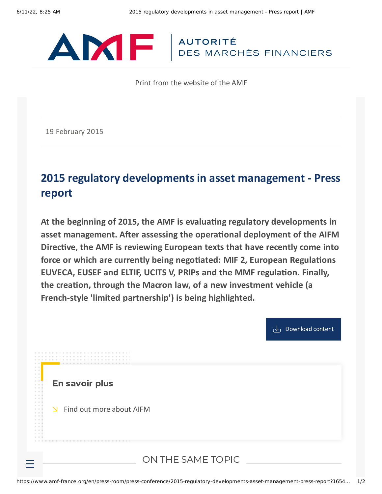

Print from the website of the AMF

19 February 2015

## **2015 regulatory developments in asset management - Press report**

**At the beginning of 2015, the AMF is evaluating regulatory developments in asset management. After assessing the operational deployment of the AIFM Directive, the AMF is reviewing European texts that have recently come into force or which are currently being negotiated: MIF 2, European Regulations EUVECA, EUSEF and ELTIF, UCITS V, PRIPs and the MMF regulation. Finally, the creation, through the Macron law, of a new investment vehicle (a French-style 'limited partnership') is being highlighted.**



En savoir plus

 $\angle$  Find out more [about](https://www.amf-france.org/en/professionals/management-companies/my-management-companies-space) AIFM

## ON THE SAME TOPIC